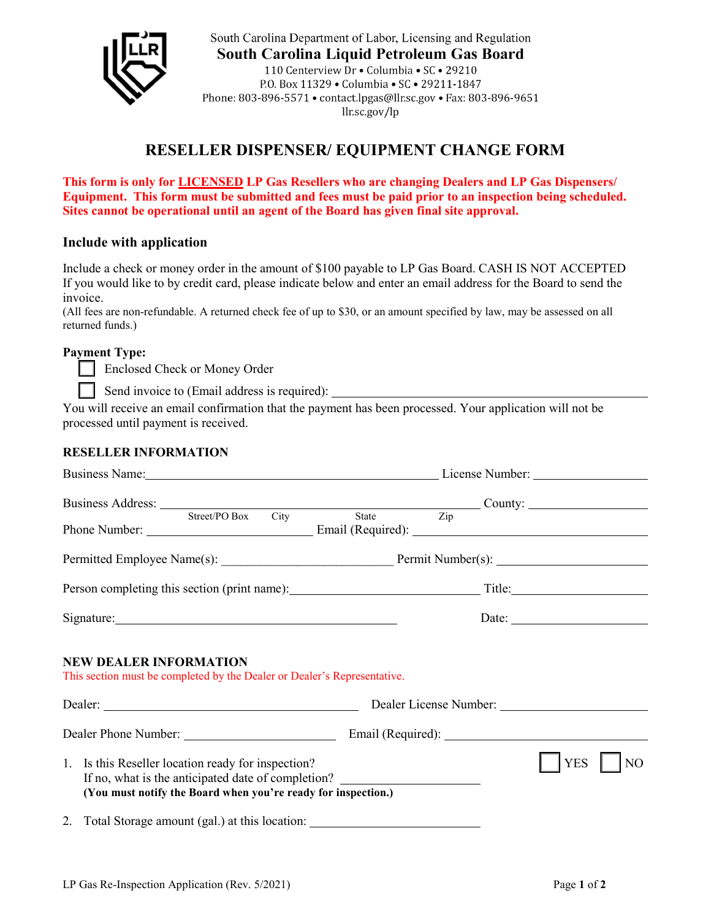

South Carolina Department of Labor, Licensing and Regulation South Carolina Liquid Petroleum Gas Board 110 Centerview Dr . Columbia . SC . 29210 P.O. Box 11329 . Columbia . SC . 29211-1847 Phone: 803-896-5571 • contact.lpgas@llr.sc.gov • Fax: 803-896-9651  $llrsc.gov/lp$ 

## **RESELLER DISPENSER/ EQUIPMENT CHANGE FORM**

**This form is only for LICENSED LP Gas Resellers who are changing Dealers and LP Gas Dispensers/ Equipment. This form must be submitted and fees must be paid prior to an inspection being scheduled. Sites cannot be operational until an agent of the Board has given final site approval.** 

## **Include with application**

Include a check or money order in the amount of \$100 payable to LP Gas Board. CASH IS NOT ACCEPTED If you would like to by credit card, please indicate below and enter an email address for the Board to send the invoice.

(All fees are non-refundable. A returned check fee of up to \$30, or an amount specified by law, may be assessed on all returned funds.)

## **Payment Type:**

Enclosed Check or Money Order

Send invoice to (Email address is required):

You will receive an email confirmation that the payment has been processed. Your application will not be processed until payment is received.

## **RESELLER INFORMATION**

|                                                                                                                                                                                                         | Business Name: License Number: License Number:                                                                                                                                                                                                                                                                                                                                                                |
|---------------------------------------------------------------------------------------------------------------------------------------------------------------------------------------------------------|---------------------------------------------------------------------------------------------------------------------------------------------------------------------------------------------------------------------------------------------------------------------------------------------------------------------------------------------------------------------------------------------------------------|
|                                                                                                                                                                                                         | Business Address: County: County:                                                                                                                                                                                                                                                                                                                                                                             |
| Street/PO Box City                                                                                                                                                                                      | State Zip                                                                                                                                                                                                                                                                                                                                                                                                     |
|                                                                                                                                                                                                         |                                                                                                                                                                                                                                                                                                                                                                                                               |
|                                                                                                                                                                                                         | Person completing this section (print name): Title: Title: Title:                                                                                                                                                                                                                                                                                                                                             |
| Signature: Signature:                                                                                                                                                                                   | Date: $\frac{1}{\sqrt{1-\frac{1}{2}}\sqrt{1-\frac{1}{2}}\sqrt{1-\frac{1}{2}}\sqrt{1-\frac{1}{2}}\sqrt{1-\frac{1}{2}}\sqrt{1-\frac{1}{2}}\sqrt{1-\frac{1}{2}}\sqrt{1-\frac{1}{2}}\sqrt{1-\frac{1}{2}}\sqrt{1-\frac{1}{2}}\sqrt{1-\frac{1}{2}}\sqrt{1-\frac{1}{2}}\sqrt{1-\frac{1}{2}}\sqrt{1-\frac{1}{2}}\sqrt{1-\frac{1}{2}}\sqrt{1-\frac{1}{2}}\sqrt{1-\frac{1}{2}}\sqrt{1-\frac{1}{2}}\sqrt{1-\frac{1}{2}}$ |
| <b>NEW DEALER INFORMATION</b><br>This section must be completed by the Dealer or Dealer's Representative.                                                                                               |                                                                                                                                                                                                                                                                                                                                                                                                               |
|                                                                                                                                                                                                         |                                                                                                                                                                                                                                                                                                                                                                                                               |
| 1. Is this Reseller location ready for inspection?<br>If no, what is the anticipated date of completion? _____________________________<br>(You must notify the Board when you're ready for inspection.) | NO<br><b>YES</b>                                                                                                                                                                                                                                                                                                                                                                                              |
| 2. Total Storage amount (gal.) at this location: _______________________________                                                                                                                        |                                                                                                                                                                                                                                                                                                                                                                                                               |